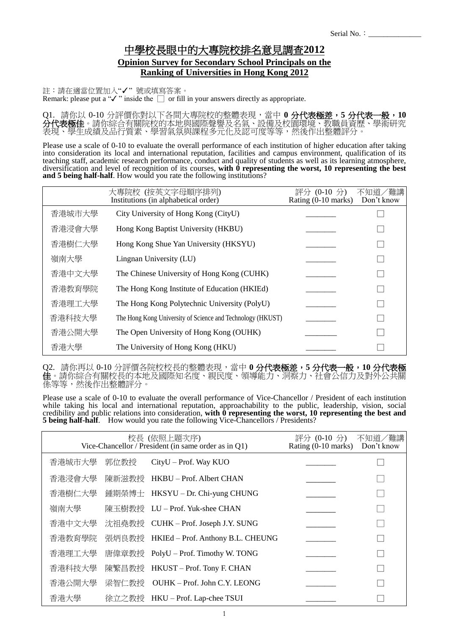## 中學校長眼中的大專院校排名意見調查**2012 Opinion Survey for Secondary School Principals on the Ranking of Universities in Hong Kong 2012**

註:請在適當位置加入"✓" 號或填寫答案。 Remark: please put a "✓" inside the □ or fill in your answers directly as appropriate.

Q1. 請你以 0-10 分評價你對以下各間大專院校的整體表現,當中 **0** 分代表極差,**5** 分代表一般,**10 分代表極佳**。請你綜合有關院校的本地與國際聲譽及名氣、設備及校園環境、教職員資歷、學術研究 表現、學生成績及品行質素、學習氣氛與課程多元化及認可度等等,然後作出整體評分。

Please use a scale of 0-10 to evaluate the overall performance of each institution of higher education after taking into consideration its local and international reputation, facilities and campus environment, qualification of its teaching staff, academic research performance, conduct and quality of students as well as its learning atmosphere, diversification and level of recognition of its courses, **with 0 representing the worst, 10 representing the best and 5 being half-half**. How would you rate the following institutions?

|        | 大專院校 (按英文字母順序排列)<br>Institutions (in alphabetical order)   | 評分 (0-10 分)<br>Rating (0-10 marks) | 不知道/難講<br>Don't know |
|--------|------------------------------------------------------------|------------------------------------|----------------------|
| 香港城市大學 | City University of Hong Kong (CityU)                       |                                    |                      |
| 香港浸會大學 | Hong Kong Baptist University (HKBU)                        |                                    |                      |
| 香港樹仁大學 | Hong Kong Shue Yan University (HKSYU)                      |                                    |                      |
| 嶺南大學   | Lingnan University (LU)                                    |                                    |                      |
| 香港中文大學 | The Chinese University of Hong Kong (CUHK)                 |                                    |                      |
| 香港教育學院 | The Hong Kong Institute of Education (HKIEd)               |                                    |                      |
| 香港理工大學 | The Hong Kong Polytechnic University (PolyU)               |                                    |                      |
| 香港科技大學 | The Hong Kong University of Science and Technology (HKUST) |                                    |                      |
| 香港公開大學 | The Open University of Hong Kong (OUHK)                    |                                    |                      |
| 香港大學   | The University of Hong Kong (HKU)                          |                                    |                      |

Q2. 請你再以 0-10 分評價各院校校長的整體表現,當中 **0** 分代表極差,**5** 分代表一般,**10** 分代表極 **佳**。請你綜合有關校長的本地及國際知名度、親民度、領導能力、洞察力、社會公信力及對外公共關 係等等,然後作出整體評分。

Please use a scale of 0-10 to evaluate the overall performance of Vice-Chancellor / President of each institution while taking his local and international reputation, approachability to the public, leadership, vision, social credibility and public relations into consideration, **with 0 representing the worst, 10 representing the best and 5 being half-half**. How would you rate the following Vice-Chancellors / Presidents?

| 校長 (依照上題次序)<br>Vice-Chancellor / President (in same order as in Q1) |        |       |                                         | 評分 (0-10 分)<br>Rating $(0-10 \text{ marks})$ | 不知道/難講<br>Don't know |
|---------------------------------------------------------------------|--------|-------|-----------------------------------------|----------------------------------------------|----------------------|
|                                                                     | 香港城市大學 | 郭位教授  | CityU – Prof. Way KUO                   |                                              |                      |
|                                                                     | 香港浸會大學 |       | 陳新滋教授 HKBU-Prof. Albert CHAN            |                                              |                      |
|                                                                     | 香港樹仁大學 |       | 鍾期榮博士 HKSYU – Dr. Chi-yung CHUNG        |                                              |                      |
|                                                                     | 嶺南大學   |       | 陳玉樹教授 LU-Prof. Yuk-shee CHAN            |                                              |                      |
|                                                                     | 香港中文大學 |       | 沈祖堯教授 CUHK – Prof. Joseph J.Y. SUNG     |                                              |                      |
|                                                                     | 香港教育學院 |       | 張炳良教授 HKIEd - Prof. Anthony B.L. CHEUNG |                                              |                      |
|                                                                     | 香港理工大學 |       | 唐偉章教授 PolyU - Prof. Timothy W. TONG     |                                              |                      |
|                                                                     | 香港科技大學 |       | 陳繁昌教授 HKUST – Prof. Tony F. CHAN        |                                              |                      |
|                                                                     | 香港公開大學 | 梁智仁教授 | OUHK - Prof. John C.Y. LEONG            |                                              |                      |
|                                                                     | 香港大學   |       | 徐立之教授 HKU-Prof. Lap-chee TSUI           |                                              |                      |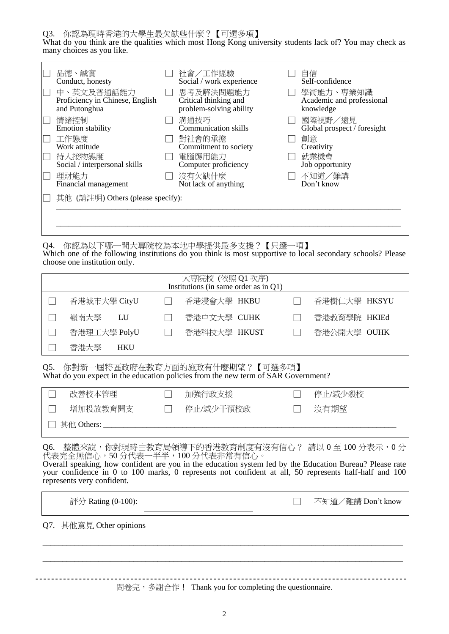Q3. 你認為現時香港的大學生最欠缺些什麼?【可選多項】

What do you think are the qualities which most Hong Kong university students lack of? You may check as many choices as you like.

| 品德、誠實<br>Conduct, honesty<br>中、英文及普通話能力<br>Proficiency in Chinese, English<br>and Putonghua          | 社會/工作經驗<br>Social / work experience<br>思考及解決問題能力<br>Critical thinking and<br>problem-solving ability     | 自信<br>Self-confidence<br>學術能力、專業知識<br>Academic and professional<br>knowledge          |
|------------------------------------------------------------------------------------------------------|----------------------------------------------------------------------------------------------------------|---------------------------------------------------------------------------------------|
| 情緒控制<br><b>Emotion stability</b><br>工作態度<br>Work attitude<br>待人接物態度<br>Social / interpersonal skills | 溝通技巧<br><b>Communication skills</b><br>對社會的承擔<br>Commitment to society<br>電腦應用能力<br>Computer proficiency | 國際視野/遠見<br>Global prospect / foresight<br>創意<br>Creativity<br>就業機會<br>Job opportunity |
| 理財能力<br>Financial management                                                                         | 沒有欠缺什麼<br>Not lack of anything                                                                           | 不知道/難講<br>Don't know                                                                  |
| 其他 (請註明) Others (please specify):                                                                    |                                                                                                          |                                                                                       |

Q4. 你認為以下哪一間大專院校為本地中學提供最多支援?【只選一項】 Which one of the following institutions do you think is most supportive to local secondary schools? Please choose one institution only.

| 大專院校 (依照 Q1 次序)<br>Institutions (in same order as in $Q1$ ) |                    |  |              |  |              |  |
|-------------------------------------------------------------|--------------------|--|--------------|--|--------------|--|
|                                                             | 香港城市大學 CityU       |  | 香港浸會大學 HKBU  |  | 香港樹仁大學 HKSYU |  |
|                                                             | 嶺南大學<br>LU         |  | 香港中文大學 CUHK  |  | 香港教育學院 HKIEd |  |
|                                                             | 香港理工大學 PolyU       |  | 香港科技大學 HKUST |  | 香港公開大學 OUHK  |  |
|                                                             | 香港大學<br><b>HKU</b> |  |              |  |              |  |

Q5. 你對新一屆特區政府在教育方面的施政有什麼期望?【可選多項】 What do you expect in the education policies from the new term of SAR Government?

|              | 改善校本管理   |  | 加強行政支援    |  | 停止/減少殺校 |  |
|--------------|----------|--|-----------|--|---------|--|
|              | 增加投放教育開支 |  | 停止/減少干預校政 |  | 沒有期望    |  |
| □ 其他 Others: |          |  |           |  |         |  |

Q6. 整體來說,你對現時由教育局領導下的香港教育制度有沒有信心? 請以 0 至 100 分表示,0 分 代表完全無信心,50 分代表一半半,100 分代表非常有信心。

Overall speaking, how confident are you in the education system led by the Education Bureau? Please rate your confidence in 0 to 100 marks, 0 represents not confident at all, 50 represents half-half and 100 represents very confident.

評分 Rating (0-100): □ 不知道/難講 Don't know

Q7. 其他意見 Other opinions

問卷完, 多謝合作! Thank you for completing the questionnaire.

 $\_$  , and the set of the set of the set of the set of the set of the set of the set of the set of the set of the set of the set of the set of the set of the set of the set of the set of the set of the set of the set of th

\_\_\_\_\_\_\_\_\_\_\_\_\_\_\_\_\_\_\_\_\_\_\_\_\_\_\_\_\_\_\_\_\_\_\_\_\_\_\_\_\_\_\_\_\_\_\_\_\_\_\_\_\_\_\_\_\_\_\_\_\_\_\_\_\_\_\_\_\_\_\_\_\_\_\_\_\_\_\_\_\_\_\_\_\_\_\_\_\_\_\_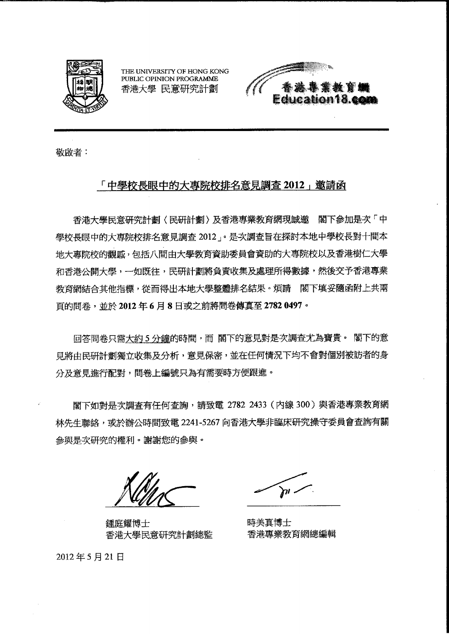

THE UNIVERSITY OF HONG KONG PUBLIC OPINION PROGRAMME 香港大學 民意研究計劃



敬啟者:

## 「中學校長眼中的大專院校排名意見調査 2012」邀請函

香港大學民意研究計劃〈民研計劃〉及香港專業教育網現誠邀 閣下参加是次「中 學校長眼中的大專院校排名意見調查 2012」。是次調查旨在探討本地中學校長對十間本 地大專院校的觀感,包括八間由大學教育資助委員會資助的大專院校以及香港樹仁大學 和香港公開大學,一如既往,民研計劃將負責收集及處理所得數據,然後交予香港專業 教育網結合其他指標,從而得出本地大學整體排名結果。煩請 閣下填妥隨函附上共兩 頁的問卷,並於2012年6月8日或之前將問卷傳真至27820497。

回答問卷只需大約5分鐘的時間,而閣下的意見對是次調查尤為寶貴。閣下的意 見將由民研計劃獨立收集及分析,意見保密,並在任何情況下均不會對個別被訪者的身 分及意見進行配對,問卷上編號只為有需要時方便跟進。

閣下如對是次調查有任何查詢,請致電 2782 2433 (內線 300)與香港專業教育網 林先生聯絡,或於辦公時間致電 2241-5267 向香港大學非臨床研究操守委員會查詢有關 參與是次研究的權利。謝謝您的參與。

鍾庭耀博士 香港大學民意研究計劃總監

. וה(

時美真博士 香港專業教育網總編輯

2012年5月21日